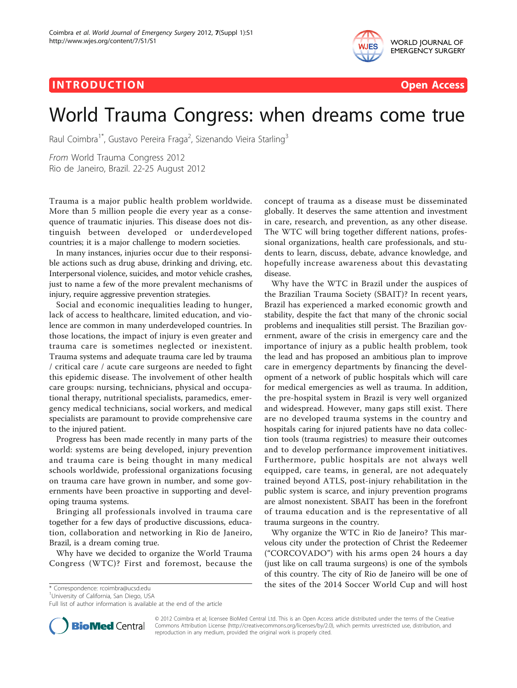## IN TRODUC TION Open Access



EMERGENCY SURGERY

# World Trauma Congress: when dreams come true

Raul Coimbra<sup>1\*</sup>, Gustavo Pereira Fraga<sup>2</sup>, Sizenando Vieira Starling<sup>3</sup>

From World Trauma Congress 2012 Rio de Janeiro, Brazil. 22-25 August 2012

Trauma is a major public health problem worldwide. More than 5 million people die every year as a consequence of traumatic injuries. This disease does not distinguish between developed or underdeveloped countries; it is a major challenge to modern societies.

In many instances, injuries occur due to their responsible actions such as drug abuse, drinking and driving, etc. Interpersonal violence, suicides, and motor vehicle crashes, just to name a few of the more prevalent mechanisms of injury, require aggressive prevention strategies.

Social and economic inequalities leading to hunger, lack of access to healthcare, limited education, and violence are common in many underdeveloped countries. In those locations, the impact of injury is even greater and trauma care is sometimes neglected or inexistent. Trauma systems and adequate trauma care led by trauma / critical care / acute care surgeons are needed to fight this epidemic disease. The involvement of other health care groups: nursing, technicians, physical and occupational therapy, nutritional specialists, paramedics, emergency medical technicians, social workers, and medical specialists are paramount to provide comprehensive care to the injured patient.

Progress has been made recently in many parts of the world: systems are being developed, injury prevention and trauma care is being thought in many medical schools worldwide, professional organizations focusing on trauma care have grown in number, and some governments have been proactive in supporting and developing trauma systems.

Bringing all professionals involved in trauma care together for a few days of productive discussions, education, collaboration and networking in Rio de Janeiro, Brazil, is a dream coming true.

Why have we decided to organize the World Trauma Congress (WTC)? First and foremost, because the

<sup>1</sup>University of California, San Diego, USA

Full list of author information is available at the end of the article

concept of trauma as a disease must be disseminated globally. It deserves the same attention and investment in care, research, and prevention, as any other disease. The WTC will bring together different nations, professional organizations, health care professionals, and students to learn, discuss, debate, advance knowledge, and hopefully increase awareness about this devastating disease.

Why have the WTC in Brazil under the auspices of the Brazilian Trauma Society (SBAIT)? In recent years, Brazil has experienced a marked economic growth and stability, despite the fact that many of the chronic social problems and inequalities still persist. The Brazilian government, aware of the crisis in emergency care and the importance of injury as a public health problem, took the lead and has proposed an ambitious plan to improve care in emergency departments by financing the development of a network of public hospitals which will care for medical emergencies as well as trauma. In addition, the pre-hospital system in Brazil is very well organized and widespread. However, many gaps still exist. There are no developed trauma systems in the country and hospitals caring for injured patients have no data collection tools (trauma registries) to measure their outcomes and to develop performance improvement initiatives. Furthermore, public hospitals are not always well equipped, care teams, in general, are not adequately trained beyond ATLS, post-injury rehabilitation in the public system is scarce, and injury prevention programs are almost nonexistent. SBAIT has been in the forefront of trauma education and is the representative of all trauma surgeons in the country.

Why organize the WTC in Rio de Janeiro? This marvelous city under the protection of Christ the Redeemer ("CORCOVADO") with his arms open 24 hours a day (just like on call trauma surgeons) is one of the symbols of this country. The city of Rio de Janeiro will be one of \* Correspondence: [rcoimbra@ucsd.edu](mailto:rcoimbra@ucsd.edu) **the sites of the 2014 Soccer World Cup and will host** 



© 2012 Coimbra et al; licensee BioMed Central Ltd. This is an Open Access article distributed under the terms of the Creative Commons Attribution License [\(http://creativecommons.org/licenses/by/2.0](http://creativecommons.org/licenses/by/2.0)), which permits unrestricted use, distribution, and reproduction in any medium, provided the original work is properly cited.